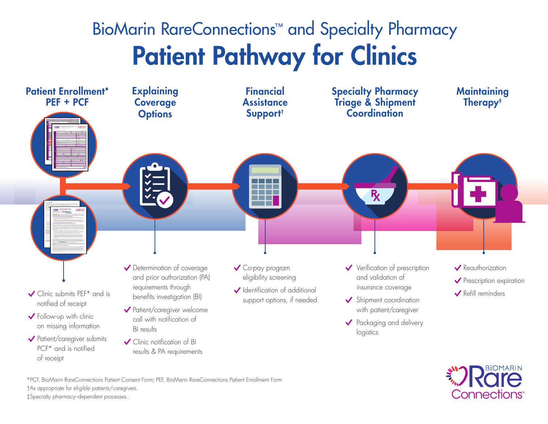# BioMarin RareConnections<sup>™</sup> and Specialty Pharmacy Patient Pathway for Clinics





\*PCF, BioMarin RareConnections Patient Consent Form; PEF, BioMarin RareConnections Patient Enrollment Form †As appropriate for eligible patients/caregivers. ‡Specialty pharmacy–dependent processes..